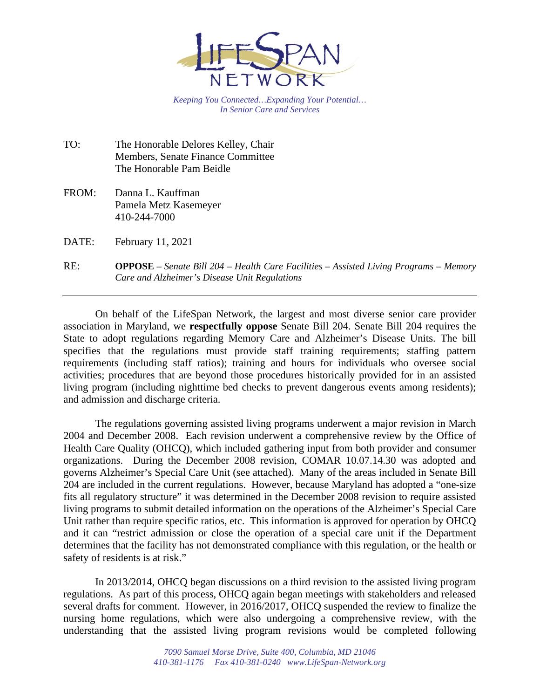

*Keeping You Connected…Expanding Your Potential… In Senior Care and Services*

TO: The Honorable Delores Kelley, Chair Members, Senate Finance Committee The Honorable Pam Beidle

FROM: Danna L. Kauffman Pamela Metz Kasemeyer 410-244-7000

DATE: February 11, 2021

RE: **OPPOSE** – *Senate Bill 204 – Health Care Facilities – Assisted Living Programs – Memory Care and Alzheimer's Disease Unit Regulations*

On behalf of the LifeSpan Network, the largest and most diverse senior care provider association in Maryland, we **respectfully oppose** Senate Bill 204. Senate Bill 204 requires the State to adopt regulations regarding Memory Care and Alzheimer's Disease Units. The bill specifies that the regulations must provide staff training requirements; staffing pattern requirements (including staff ratios); training and hours for individuals who oversee social activities; procedures that are beyond those procedures historically provided for in an assisted living program (including nighttime bed checks to prevent dangerous events among residents); and admission and discharge criteria.

The regulations governing assisted living programs underwent a major revision in March 2004 and December 2008. Each revision underwent a comprehensive review by the Office of Health Care Quality (OHCQ), which included gathering input from both provider and consumer organizations. During the December 2008 revision, COMAR 10.07.14.30 was adopted and governs Alzheimer's Special Care Unit (see attached). Many of the areas included in Senate Bill 204 are included in the current regulations. However, because Maryland has adopted a "one-size fits all regulatory structure" it was determined in the December 2008 revision to require assisted living programs to submit detailed information on the operations of the Alzheimer's Special Care Unit rather than require specific ratios, etc. This information is approved for operation by OHCQ and it can "restrict admission or close the operation of a special care unit if the Department determines that the facility has not demonstrated compliance with this regulation, or the health or safety of residents is at risk."

In 2013/2014, OHCQ began discussions on a third revision to the assisted living program regulations. As part of this process, OHCQ again began meetings with stakeholders and released several drafts for comment. However, in 2016/2017, OHCQ suspended the review to finalize the nursing home regulations, which were also undergoing a comprehensive review, with the understanding that the assisted living program revisions would be completed following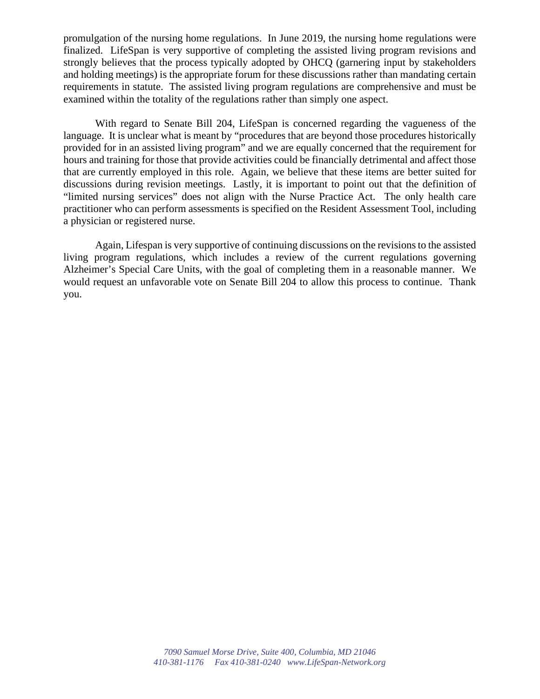promulgation of the nursing home regulations. In June 2019, the nursing home regulations were finalized. LifeSpan is very supportive of completing the assisted living program revisions and strongly believes that the process typically adopted by OHCQ (garnering input by stakeholders and holding meetings) is the appropriate forum for these discussions rather than mandating certain requirements in statute. The assisted living program regulations are comprehensive and must be examined within the totality of the regulations rather than simply one aspect.

With regard to Senate Bill 204, LifeSpan is concerned regarding the vagueness of the language. It is unclear what is meant by "procedures that are beyond those procedures historically provided for in an assisted living program" and we are equally concerned that the requirement for hours and training for those that provide activities could be financially detrimental and affect those that are currently employed in this role. Again, we believe that these items are better suited for discussions during revision meetings. Lastly, it is important to point out that the definition of "limited nursing services" does not align with the Nurse Practice Act. The only health care practitioner who can perform assessments is specified on the Resident Assessment Tool, including a physician or registered nurse.

Again, Lifespan is very supportive of continuing discussions on the revisions to the assisted living program regulations, which includes a review of the current regulations governing Alzheimer's Special Care Units, with the goal of completing them in a reasonable manner. We would request an unfavorable vote on Senate Bill 204 to allow this process to continue. Thank you.